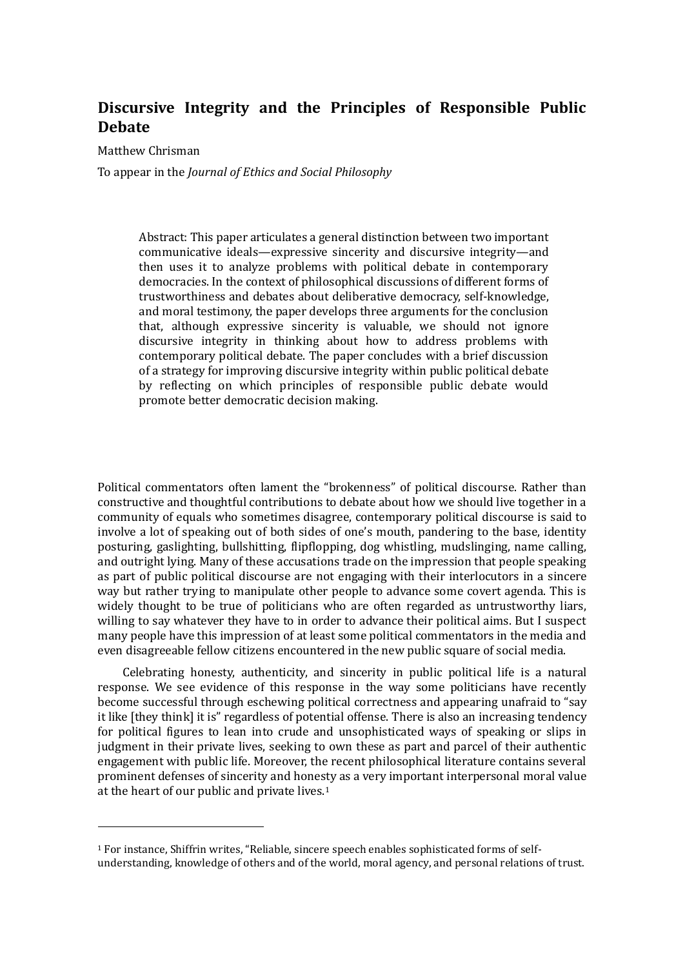# **Discursive Integrity and the Principles of Responsible Public Debate**

Matthew Chrisman

To appear in the *Journal of Ethics and Social Philosophy*

Abstract: This paper articulates a general distinction between two important communicative ideals—expressive sincerity and discursive integrity—and then uses it to analyze problems with political debate in contemporary democracies. In the context of philosophical discussions of different forms of trustworthiness and debates about deliberative democracy, self-knowledge, and moral testimony, the paper develops three arguments for the conclusion that, although expressive sincerity is valuable, we should not ignore discursive integrity in thinking about how to address problems with contemporary political debate. The paper concludes with a brief discussion of a strategy for improving discursive integrity within public political debate by reflecting on which principles of responsible public debate would promote better democratic decision making.

Political commentators often lament the "brokenness" of political discourse. Rather than constructive and thoughtful contributions to debate about how we should live together in a community of equals who sometimes disagree, contemporary political discourse is said to involve a lot of speaking out of both sides of one's mouth, pandering to the base, identity posturing, gaslighting, bullshitting, flipflopping, dog whistling, mudslinging, name calling, and outright lying. Many of these accusations trade on the impression that people speaking as part of public political discourse are not engaging with their interlocutors in a sincere way but rather trying to manipulate other people to advance some covert agenda. This is widely thought to be true of politicians who are often regarded as untrustworthy liars, willing to say whatever they have to in order to advance their political aims. But I suspect many people have this impression of at least some political commentators in the media and even disagreeable fellow citizens encountered in the new public square of social media.

Celebrating honesty, authenticity, and sincerity in public political life is a natural response. We see evidence of this response in the way some politicians have recently become successful through eschewing political correctness and appearing unafraid to "say it like [they think] it is" regardless of potential offense. There is also an increasing tendency for political figures to lean into crude and unsophisticated ways of speaking or slips in judgment in their private lives, seeking to own these as part and parcel of their authentic engagement with public life. Moreover, the recent philosophical literature contains several prominent defenses of sincerity and honesty as a very important interpersonal moral value at the heart of our public and private lives.<sup>1</sup>

<sup>1</sup> For instance, Shiffrin writes, "Reliable, sincere speech enables sophisticated forms of selfunderstanding, knowledge of others and of the world, moral agency, and personal relations of trust.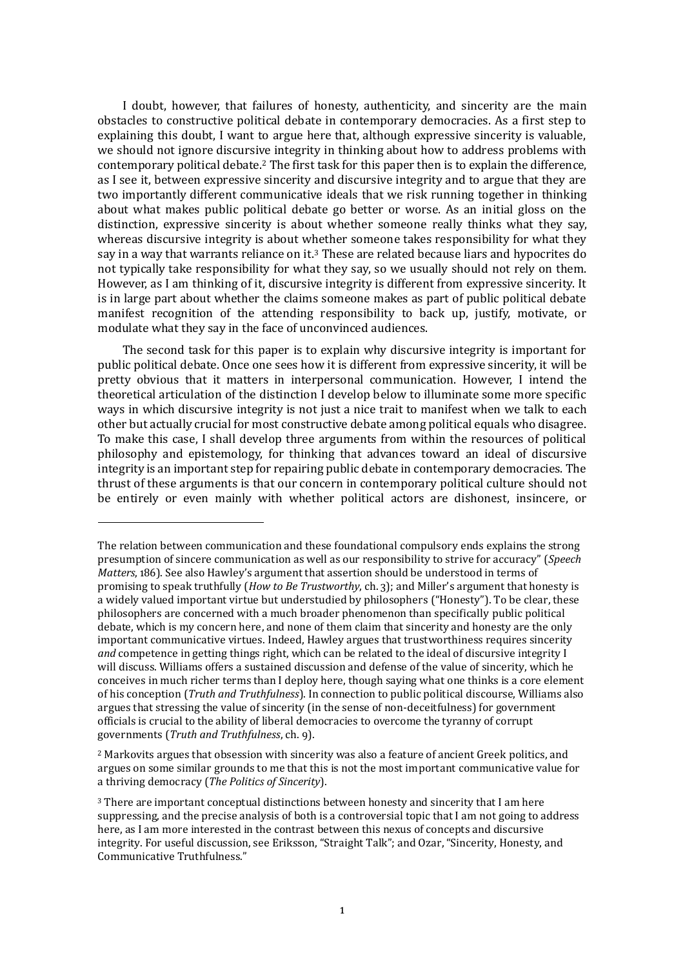I doubt, however, that failures of honesty, authenticity, and sincerity are the main obstacles to constructive political debate in contemporary democracies. As a first step to explaining this doubt, I want to argue here that, although expressive sincerity is valuable, we should not ignore discursive integrity in thinking about how to address problems with contemporary political debate.<sup>2</sup> The first task for this paper then is to explain the difference, as I see it, between expressive sincerity and discursive integrity and to argue that they are two importantly different communicative ideals that we risk running together in thinking about what makes public political debate go better or worse. As an initial gloss on the distinction, expressive sincerity is about whether someone really thinks what they say, whereas discursive integrity is about whether someone takes responsibility for what they say in a way that warrants reliance on it.<sup>3</sup> These are related because liars and hypocrites do not typically take responsibility for what they say, so we usually should not rely on them. However, as I am thinking of it, discursive integrity is different from expressive sincerity. It is in large part about whether the claims someone makes as part of public political debate manifest recognition of the attending responsibility to back up, justify, motivate, or modulate what they say in the face of unconvinced audiences.

The second task for this paper is to explain why discursive integrity is important for public political debate. Once one sees how it is different from expressive sincerity, it will be pretty obvious that it matters in interpersonal communication. However, I intend the theoretical articulation of the distinction I develop below to illuminate some more specific ways in which discursive integrity is not just a nice trait to manifest when we talk to each other but actually crucial for most constructive debate among political equals who disagree. To make this case, I shall develop three arguments from within the resources of political philosophy and epistemology, for thinking that advances toward an ideal of discursive integrity is an important step for repairing public debate in contemporary democracies. The thrust of these arguments is that our concern in contemporary political culture should not be entirely or even mainly with whether political actors are dishonest, insincere, or

The relation between communication and these foundational compulsory ends explains the strong presumption of sincere communication as well as our responsibility to strive for accuracy" (*Speech Matters*, 186). See also Hawley's argument that assertion should be understood in terms of promising to speak truthfully (*How to Be Trustworthy*, ch. 3); and Miller's argument that honesty is a widely valued important virtue but understudied by philosophers ("Honesty"). To be clear, these philosophers are concerned with a much broader phenomenon than specifically public political debate, which is my concern here, and none of them claim that sincerity and honesty are the only important communicative virtues. Indeed, Hawley argues that trustworthiness requires sincerity *and* competence in getting things right, which can be related to the ideal of discursive integrity I will discuss. Williams offers a sustained discussion and defense of the value of sincerity, which he conceives in much richer terms than I deploy here, though saying what one thinks is a core element of his conception (*Truth and Truthfulness*). In connection to public political discourse, Williams also argues that stressing the value of sincerity (in the sense of non-deceitfulness) for government officials is crucial to the ability of liberal democracies to overcome the tyranny of corrupt governments (*Truth and Truthfulness*, ch. 9).

<sup>2</sup> Markovits argues that obsession with sincerity was also a feature of ancient Greek politics, and argues on some similar grounds to me that this is not the most important communicative value for a thriving democracy (*The Politics of Sincerity*).

<sup>3</sup> There are important conceptual distinctions between honesty and sincerity that I am here suppressing, and the precise analysis of both is a controversial topic that I am not going to address here, as I am more interested in the contrast between this nexus of concepts and discursive integrity. For useful discussion, see Eriksson, "Straight Talk"; and Ozar, "Sincerity, Honesty, and Communicative Truthfulness."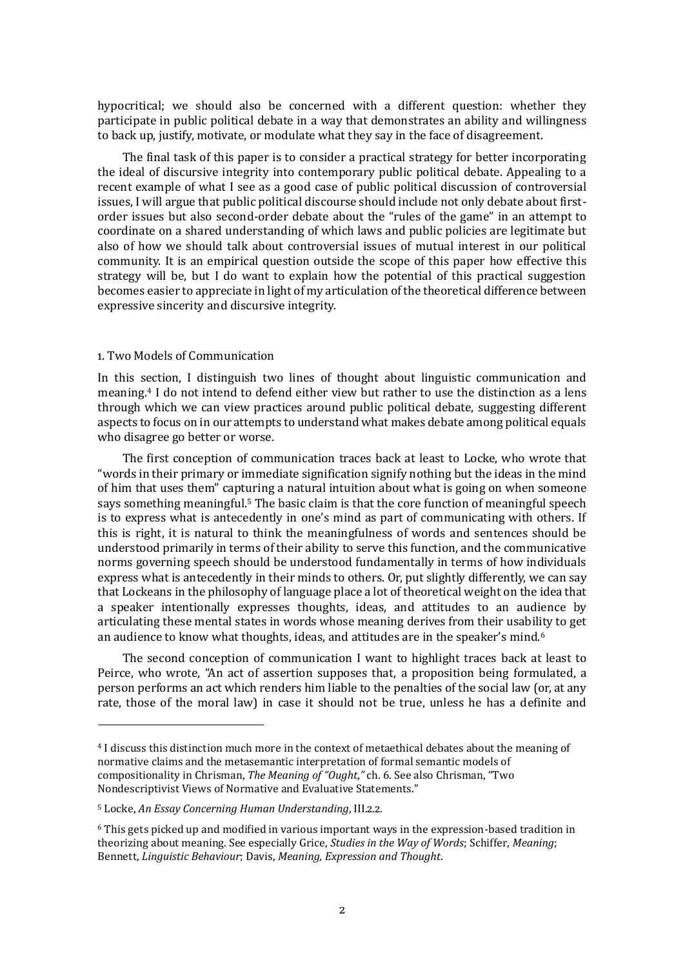hypocritical; we should also be concerned with a different question: whether they participate in public political debate in a way that demonstrates an ability and willingness to back up, justify, motivate, or modulate what they say in the face of disagreement.

The final task of this paper is to consider a practical strategy for better incorporating the ideal of discursive integrity into contemporary public political debate. Appealing to a recent example of what I see as a good case of public political discussion of controversial issues, I will argue that public political discourse should include not only debate about firstorder issues but also second-order debate about the "rules of the game" in an attempt to coordinate on a shared understanding of which laws and public policies are legitimate but also of how we should talk about controversial issues of mutual interest in our political community. It is an empirical question outside the scope of this paper how effective this strategy will be, but I do want to explain how the potential of this practical suggestion becomes easier to appreciate in light of my articulation of the theoretical difference between expressive sincerity and discursive integrity.

### 1. Two Models of Communication

In this section, I distinguish two lines of thought about linguistic communication and meaning.<sup>4</sup> I do not intend to defend either view but rather to use the distinction as a lens through which we can view practices around public political debate, suggesting different aspects to focus on in our attempts to understand what makes debate among political equals who disagree go better or worse.

The first conception of communication traces back at least to Locke, who wrote that "words in their primary or immediate signification signify nothing but the ideas in the mind of him that uses them" capturing a natural intuition about what is going on when someone says something meaningful.<sup>5</sup> The basic claim is that the core function of meaningful speech is to express what is antecedently in one's mind as part of communicating with others. If this is right, it is natural to think the meaningfulness of words and sentences should be understood primarily in terms of their ability to serve this function, and the communicative norms governing speech should be understood fundamentally in terms of how individuals express what is antecedently in their minds to others. Or, put slightly differently, we can say that Lockeans in the philosophy of language place a lot of theoretical weight on the idea that a speaker intentionally expresses thoughts, ideas, and attitudes to an audience by articulating these mental states in words whose meaning derives from their usability to get an audience to know what thoughts, ideas, and attitudes are in the speaker's mind.<sup>6</sup>

The second conception of communication I want to highlight traces back at least to Peirce, who wrote, "An act of assertion supposes that, a proposition being formulated, a person performs an act which renders him liable to the penalties of the social law (or, at any rate, those of the moral law) in case it should not be true, unless he has a definite and

<sup>4</sup> I discuss this distinction much more in the context of metaethical debates about the meaning of normative claims and the metasemantic interpretation of formal semantic models of compositionality in Chrisman, *The Meaning of "Ought*,*"* ch. 6. See also Chrisman, "Two Nondescriptivist Views of Normative and Evaluative Statements."

<sup>5</sup> Locke, *An Essay Concerning Human Understanding*, III.2.2.

<sup>6</sup> This gets picked up and modified in various important ways in the expression-based tradition in theorizing about meaning. See especially Grice, *Studies in the Way of Words*; Schiffer, *Meaning*; Bennett, *Linguistic Behaviour*; Davis, *Meaning, Expression and Thought*.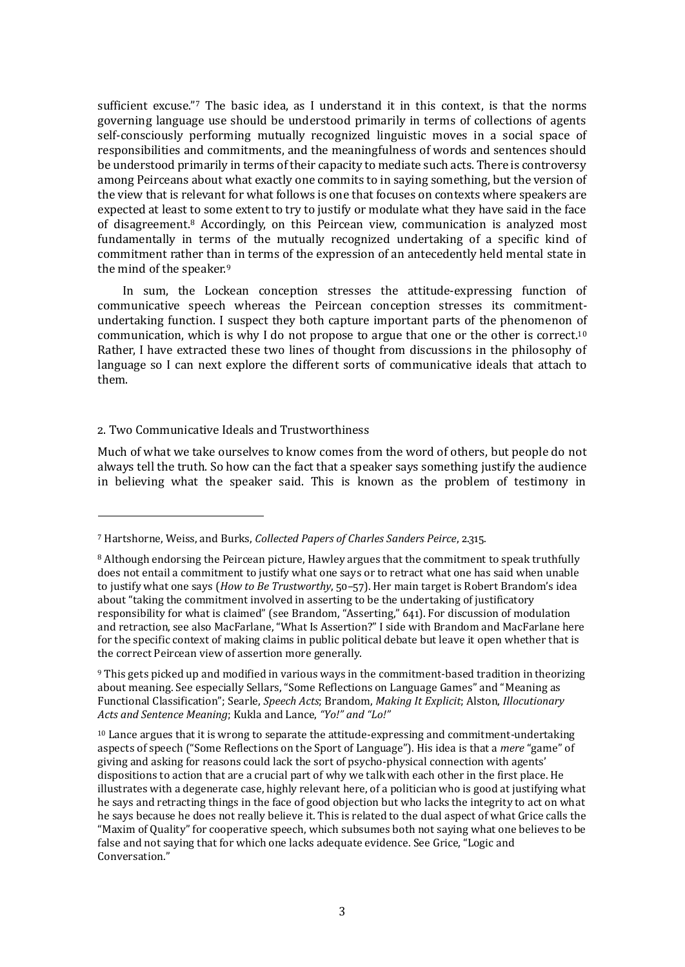sufficient excuse."<sup>7</sup> The basic idea, as I understand it in this context, is that the norms governing language use should be understood primarily in terms of collections of agents self-consciously performing mutually recognized linguistic moves in a social space of responsibilities and commitments, and the meaningfulness of words and sentences should be understood primarily in terms of their capacity to mediate such acts. There is controversy among Peirceans about what exactly one commits to in saying something, but the version of the view that is relevant for what follows is one that focuses on contexts where speakers are expected at least to some extent to try to justify or modulate what they have said in the face of disagreement.<sup>8</sup> Accordingly, on this Peircean view, communication is analyzed most fundamentally in terms of the mutually recognized undertaking of a specific kind of commitment rather than in terms of the expression of an antecedently held mental state in the mind of the speaker.<sup>9</sup>

In sum, the Lockean conception stresses the attitude-expressing function of communicative speech whereas the Peircean conception stresses its commitmentundertaking function. I suspect they both capture important parts of the phenomenon of communication, which is why I do not propose to argue that one or the other is correct.<sup>10</sup> Rather, I have extracted these two lines of thought from discussions in the philosophy of language so I can next explore the different sorts of communicative ideals that attach to them.

# 2. Two Communicative Ideals and Trustworthiness

Much of what we take ourselves to know comes from the word of others, but people do not always tell the truth. So how can the fact that a speaker says something justify the audience in believing what the speaker said. This is known as the problem of testimony in

<sup>7</sup> Hartshorne, Weiss, and Burks, *Collected Papers of Charles Sanders Peirce*, 2.315.

<sup>&</sup>lt;sup>8</sup> Although endorsing the Peircean picture, Hawley argues that the commitment to speak truthfully does not entail a commitment to justify what one says or to retract what one has said when unable to justify what one says (*How to Be Trustworthy*, 50–57). Her main target is Robert Brandom's idea about "taking the commitment involved in asserting to be the undertaking of justificatory responsibility for what is claimed" (see Brandom, "Asserting," 641). For discussion of modulation and retraction, see also MacFarlane, "What Is Assertion?" I side with Brandom and MacFarlane here for the specific context of making claims in public political debate but leave it open whether that is the correct Peircean view of assertion more generally.

<sup>9</sup> This gets picked up and modified in various ways in the commitment-based tradition in theorizing about meaning. See especially Sellars, "Some Reflections on Language Games" and "Meaning as Functional Classification"; Searle, *Speech Acts*; Brandom, *Making It Explicit*; Alston, *Illocutionary Acts and Sentence Meaning*; Kukla and Lance, *"Yo!" and "Lo!"*

 $10$  Lance argues that it is wrong to separate the attitude-expressing and commitment-undertaking aspects of speech ("Some Reflections on the Sport of Language"). His idea is that a *mere* "game" of giving and asking for reasons could lack the sort of psycho-physical connection with agents' dispositions to action that are a crucial part of why we talk with each other in the first place. He illustrates with a degenerate case, highly relevant here, of a politician who is good at justifying what he says and retracting things in the face of good objection but who lacks the integrity to act on what he says because he does not really believe it. This is related to the dual aspect of what Grice calls the "Maxim of Quality" for cooperative speech, which subsumes both not saying what one believes to be false and not saying that for which one lacks adequate evidence. See Grice, "Logic and Conversation."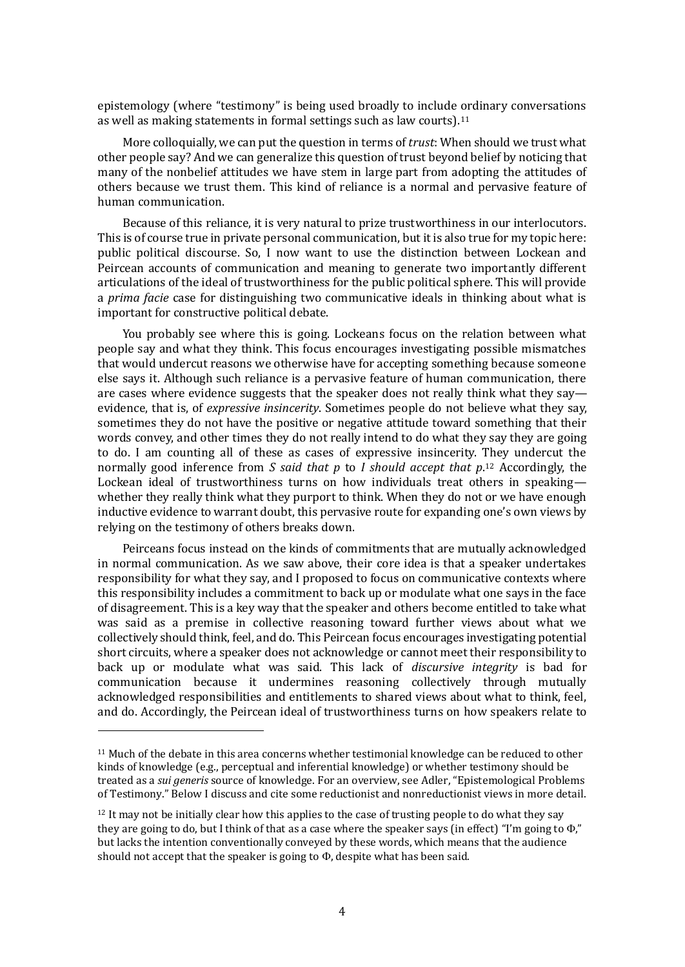epistemology (where "testimony" is being used broadly to include ordinary conversations as well as making statements in formal settings such as law courts).<sup>11</sup>

More colloquially, we can put the question in terms of *trust*: When should we trust what other people say? And we can generalize this question of trust beyond belief by noticing that many of the nonbelief attitudes we have stem in large part from adopting the attitudes of others because we trust them. This kind of reliance is a normal and pervasive feature of human communication.

Because of this reliance, it is very natural to prize trustworthiness in our interlocutors. This is of course true in private personal communication, but it is also true for my topic here: public political discourse. So, I now want to use the distinction between Lockean and Peircean accounts of communication and meaning to generate two importantly different articulations of the ideal of trustworthiness for the public political sphere. This will provide a *prima facie* case for distinguishing two communicative ideals in thinking about what is important for constructive political debate.

You probably see where this is going. Lockeans focus on the relation between what people say and what they think. This focus encourages investigating possible mismatches that would undercut reasons we otherwise have for accepting something because someone else says it. Although such reliance is a pervasive feature of human communication, there are cases where evidence suggests that the speaker does not really think what they say evidence, that is, of *expressive insincerity*. Sometimes people do not believe what they say, sometimes they do not have the positive or negative attitude toward something that their words convey, and other times they do not really intend to do what they say they are going to do. I am counting all of these as cases of expressive insincerity. They undercut the normally good inference from *S said that p* to *I should accept that p*. <sup>12</sup> Accordingly, the Lockean ideal of trustworthiness turns on how individuals treat others in speaking whether they really think what they purport to think. When they do not or we have enough inductive evidence to warrant doubt, this pervasive route for expanding one's own views by relying on the testimony of others breaks down.

Peirceans focus instead on the kinds of commitments that are mutually acknowledged in normal communication. As we saw above, their core idea is that a speaker undertakes responsibility for what they say, and I proposed to focus on communicative contexts where this responsibility includes a commitment to back up or modulate what one says in the face of disagreement. This is a key way that the speaker and others become entitled to take what was said as a premise in collective reasoning toward further views about what we collectively should think, feel, and do. This Peircean focus encourages investigating potential short circuits, where a speaker does not acknowledge or cannot meet their responsibility to back up or modulate what was said. This lack of *discursive integrity* is bad for communication because it undermines reasoning collectively through mutually acknowledged responsibilities and entitlements to shared views about what to think, feel, and do. Accordingly, the Peircean ideal of trustworthiness turns on how speakers relate to

 $11$  Much of the debate in this area concerns whether testimonial knowledge can be reduced to other kinds of knowledge (e.g., perceptual and inferential knowledge) or whether testimony should be treated as a *sui generis* source of knowledge. For an overview, see Adler, "Epistemological Problems of Testimony." Below I discuss and cite some reductionist and nonreductionist views in more detail.

 $12$  It may not be initially clear how this applies to the case of trusting people to do what they say they are going to do, but I think of that as a case where the speaker says (in effect) "I'm going to  $\Phi$ ." but lacks the intention conventionally conveyed by these words, which means that the audience should not accept that the speaker is going to  $\Phi$ , despite what has been said.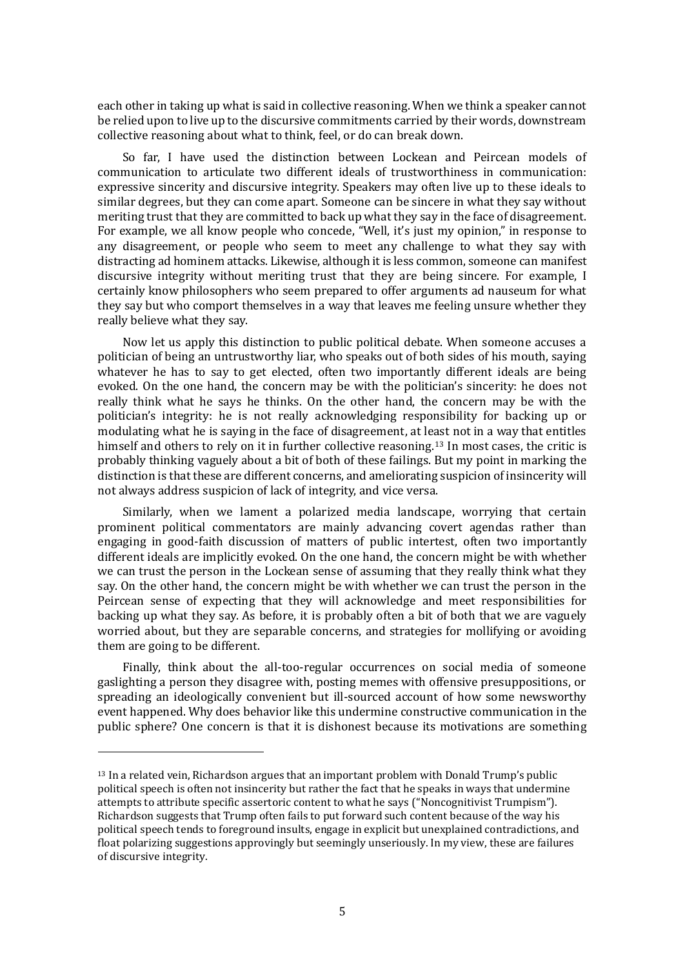each other in taking up what is said in collective reasoning. When we think a speaker cannot be relied upon to live up to the discursive commitments carried by their words, downstream collective reasoning about what to think, feel, or do can break down.

So far, I have used the distinction between Lockean and Peircean models of communication to articulate two different ideals of trustworthiness in communication: expressive sincerity and discursive integrity. Speakers may often live up to these ideals to similar degrees, but they can come apart. Someone can be sincere in what they say without meriting trust that they are committed to back up what they say in the face of disagreement. For example, we all know people who concede, "Well, it's just my opinion," in response to any disagreement, or people who seem to meet any challenge to what they say with distracting ad hominem attacks. Likewise, although it is less common, someone can manifest discursive integrity without meriting trust that they are being sincere. For example, I certainly know philosophers who seem prepared to offer arguments ad nauseum for what they say but who comport themselves in a way that leaves me feeling unsure whether they really believe what they say.

Now let us apply this distinction to public political debate. When someone accuses a politician of being an untrustworthy liar, who speaks out of both sides of his mouth, saying whatever he has to say to get elected, often two importantly different ideals are being evoked. On the one hand, the concern may be with the politician's sincerity: he does not really think what he says he thinks. On the other hand, the concern may be with the politician's integrity: he is not really acknowledging responsibility for backing up or modulating what he is saying in the face of disagreement, at least not in a way that entitles himself and others to rely on it in further collective reasoning.<sup>13</sup> In most cases, the critic is probably thinking vaguely about a bit of both of these failings. But my point in marking the distinction is that these are different concerns, and ameliorating suspicion of insincerity will not always address suspicion of lack of integrity, and vice versa.

Similarly, when we lament a polarized media landscape, worrying that certain prominent political commentators are mainly advancing covert agendas rather than engaging in good-faith discussion of matters of public intertest, often two importantly different ideals are implicitly evoked. On the one hand, the concern might be with whether we can trust the person in the Lockean sense of assuming that they really think what they say. On the other hand, the concern might be with whether we can trust the person in the Peircean sense of expecting that they will acknowledge and meet responsibilities for backing up what they say. As before, it is probably often a bit of both that we are vaguely worried about, but they are separable concerns, and strategies for mollifying or avoiding them are going to be different.

Finally, think about the all-too-regular occurrences on social media of someone gaslighting a person they disagree with, posting memes with offensive presuppositions, or spreading an ideologically convenient but ill-sourced account of how some newsworthy event happened. Why does behavior like this undermine constructive communication in the public sphere? One concern is that it is dishonest because its motivations are something

 $13$  In a related vein, Richardson argues that an important problem with Donald Trump's public political speech is often not insincerity but rather the fact that he speaks in ways that undermine attempts to attribute specific assertoric content to what he says ("Noncognitivist Trumpism"). Richardson suggests that Trump often fails to put forward such content because of the way his political speech tends to foreground insults, engage in explicit but unexplained contradictions, and float polarizing suggestions approvingly but seemingly unseriously. In my view, these are failures of discursive integrity.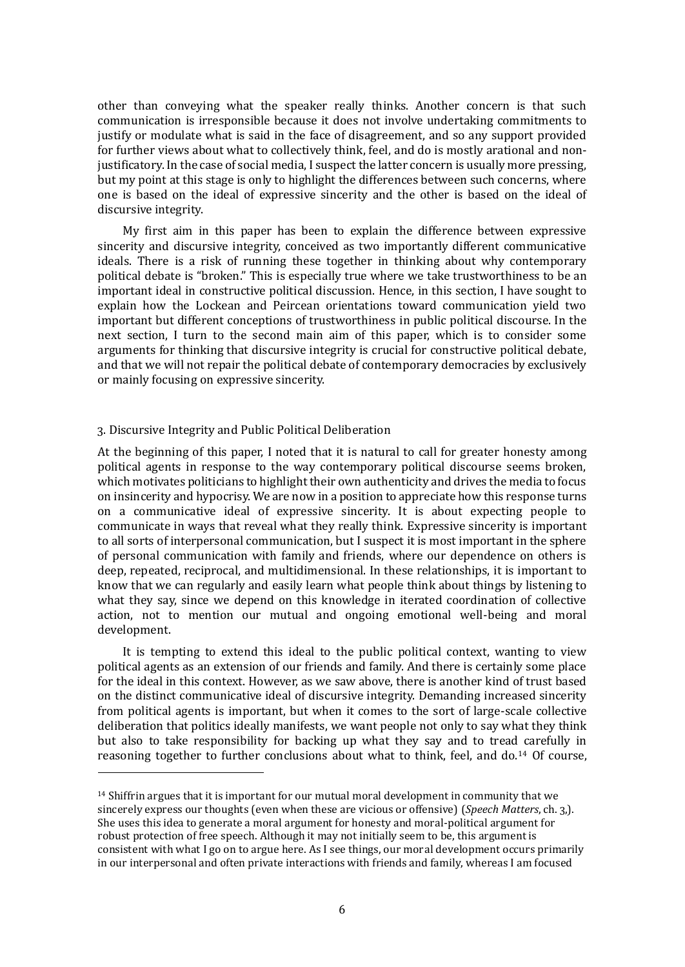other than conveying what the speaker really thinks. Another concern is that such communication is irresponsible because it does not involve undertaking commitments to justify or modulate what is said in the face of disagreement, and so any support provided for further views about what to collectively think, feel, and do is mostly arational and nonjustificatory. In the case of social media, I suspect the latter concern is usually more pressing, but my point at this stage is only to highlight the differences between such concerns, where one is based on the ideal of expressive sincerity and the other is based on the ideal of discursive integrity.

My first aim in this paper has been to explain the difference between expressive sincerity and discursive integrity, conceived as two importantly different communicative ideals. There is a risk of running these together in thinking about why contemporary political debate is "broken." This is especially true where we take trustworthiness to be an important ideal in constructive political discussion. Hence, in this section, I have sought to explain how the Lockean and Peircean orientations toward communication yield two important but different conceptions of trustworthiness in public political discourse. In the next section, I turn to the second main aim of this paper, which is to consider some arguments for thinking that discursive integrity is crucial for constructive political debate, and that we will not repair the political debate of contemporary democracies by exclusively or mainly focusing on expressive sincerity.

# 3. Discursive Integrity and Public Political Deliberation

At the beginning of this paper, I noted that it is natural to call for greater honesty among political agents in response to the way contemporary political discourse seems broken, which motivates politicians to highlight their own authenticity and drives the media to focus on insincerity and hypocrisy. We are now in a position to appreciate how this response turns on a communicative ideal of expressive sincerity. It is about expecting people to communicate in ways that reveal what they really think. Expressive sincerity is important to all sorts of interpersonal communication, but I suspect it is most important in the sphere of personal communication with family and friends, where our dependence on others is deep, repeated, reciprocal, and multidimensional. In these relationships, it is important to know that we can regularly and easily learn what people think about things by listening to what they say, since we depend on this knowledge in iterated coordination of collective action, not to mention our mutual and ongoing emotional well-being and moral development.

It is tempting to extend this ideal to the public political context, wanting to view political agents as an extension of our friends and family. And there is certainly some place for the ideal in this context. However, as we saw above, there is another kind of trust based on the distinct communicative ideal of discursive integrity. Demanding increased sincerity from political agents is important, but when it comes to the sort of large-scale collective deliberation that politics ideally manifests, we want people not only to say what they think but also to take responsibility for backing up what they say and to tread carefully in reasoning together to further conclusions about what to think, feel, and do.<sup>14</sup> Of course,

 $14$  Shiffrin argues that it is important for our mutual moral development in community that we sincerely express our thoughts (even when these are vicious or offensive) (*Speech Matters*, ch. 3,). She uses this idea to generate a moral argument for honesty and moral-political argument for robust protection of free speech. Although it may not initially seem to be, this argument is consistent with what I go on to argue here. As I see things, our moral development occurs primarily in our interpersonal and often private interactions with friends and family, whereas I am focused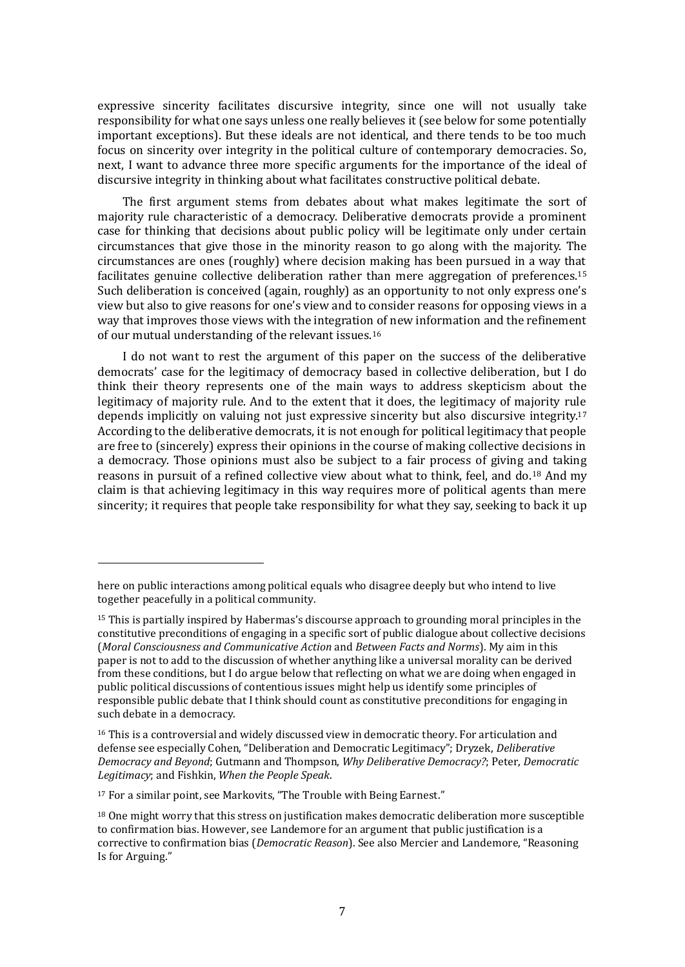expressive sincerity facilitates discursive integrity, since one will not usually take responsibility for what one says unless one really believes it (see below for some potentially important exceptions). But these ideals are not identical, and there tends to be too much focus on sincerity over integrity in the political culture of contemporary democracies. So, next, I want to advance three more specific arguments for the importance of the ideal of discursive integrity in thinking about what facilitates constructive political debate.

The first argument stems from debates about what makes legitimate the sort of majority rule characteristic of a democracy. Deliberative democrats provide a prominent case for thinking that decisions about public policy will be legitimate only under certain circumstances that give those in the minority reason to go along with the majority. The circumstances are ones (roughly) where decision making has been pursued in a way that facilitates genuine collective deliberation rather than mere aggregation of preferences. 15 Such deliberation is conceived (again, roughly) as an opportunity to not only express one's view but also to give reasons for one's view and to consider reasons for opposing views in a way that improves those views with the integration of new information and the refinement of our mutual understanding of the relevant issues.<sup>16</sup>

I do not want to rest the argument of this paper on the success of the deliberative democrats' case for the legitimacy of democracy based in collective deliberation, but I do think their theory represents one of the main ways to address skepticism about the legitimacy of majority rule. And to the extent that it does, the legitimacy of majority rule depends implicitly on valuing not just expressive sincerity but also discursive integrity.<sup>17</sup> According to the deliberative democrats, it is not enough for political legitimacy that people are free to (sincerely) express their opinions in the course of making collective decisions in a democracy. Those opinions must also be subject to a fair process of giving and taking reasons in pursuit of a refined collective view about what to think, feel, and do.<sup>18</sup> And my claim is that achieving legitimacy in this way requires more of political agents than mere sincerity; it requires that people take responsibility for what they say, seeking to back it up

here on public interactions among political equals who disagree deeply but who intend to live together peacefully in a political community.

 $15$  This is partially inspired by Habermas's discourse approach to grounding moral principles in the constitutive preconditions of engaging in a specific sort of public dialogue about collective decisions (*Moral Consciousness and Communicative Action* and *Between Facts and Norms*). My aim in this paper is not to add to the discussion of whether anything like a universal morality can be derived from these conditions, but I do argue below that reflecting on what we are doing when engaged in public political discussions of contentious issues might help us identify some principles of responsible public debate that I think should count as constitutive preconditions for engaging in such debate in a democracy.

<sup>&</sup>lt;sup>16</sup> This is a controversial and widely discussed view in democratic theory. For articulation and defense see especially Cohen, "Deliberation and Democratic Legitimacy"; Dryzek, *Deliberative Democracy and Beyond*; Gutmann and Thompson, *Why Deliberative Democracy?*; Peter, *Democratic Legitimacy*; and Fishkin, *When the People Speak*.

<sup>17</sup> For a similar point, see Markovits, "The Trouble with Being Earnest."

<sup>&</sup>lt;sup>18</sup> One might worry that this stress on justification makes democratic deliberation more susceptible to confirmation bias. However, see Landemore for an argument that public justification is a corrective to confirmation bias (*Democratic Reason*). See also Mercier and Landemore, "Reasoning Is for Arguing."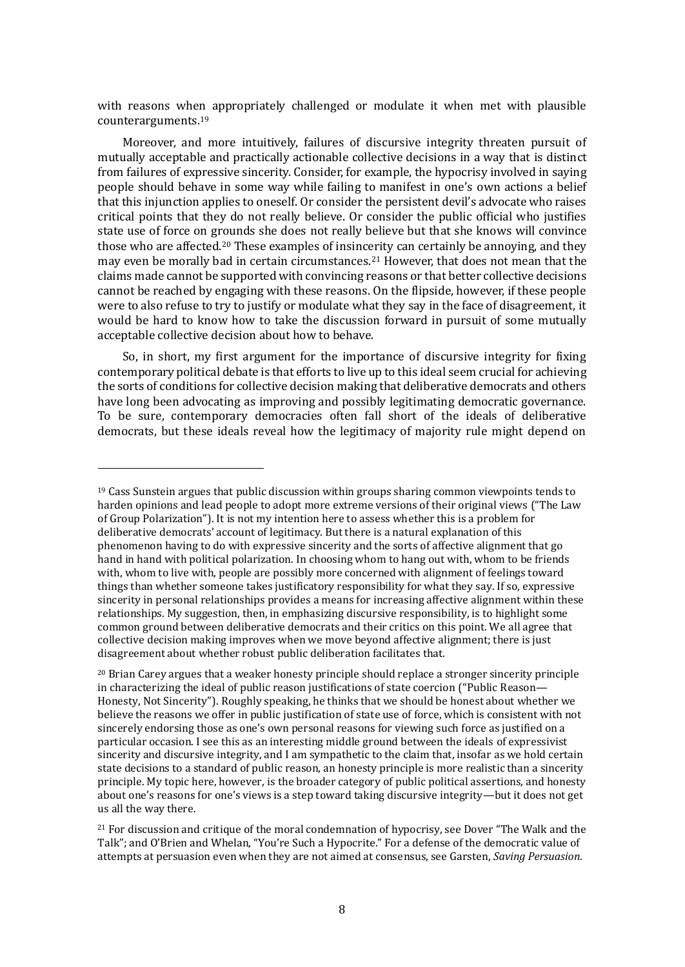with reasons when appropriately challenged or modulate it when met with plausible counterarguments.<sup>19</sup>

Moreover, and more intuitively, failures of discursive integrity threaten pursuit of mutually acceptable and practically actionable collective decisions in a way that is distinct from failures of expressive sincerity. Consider, for example, the hypocrisy involved in saying people should behave in some way while failing to manifest in one's own actions a belief that this injunction applies to oneself. Or consider the persistent devil's advocate who raises critical points that they do not really believe. Or consider the public official who justifies state use of force on grounds she does not really believe but that she knows will convince those who are affected.<sup>20</sup> These examples of insincerity can certainly be annoying, and they may even be morally bad in certain circumstances.<sup>21</sup> However, that does not mean that the claims made cannot be supported with convincing reasons or that better collective decisions cannot be reached by engaging with these reasons. On the flipside, however, if these people were to also refuse to try to justify or modulate what they say in the face of disagreement, it would be hard to know how to take the discussion forward in pursuit of some mutually acceptable collective decision about how to behave.

So, in short, my first argument for the importance of discursive integrity for fixing contemporary political debate is that efforts to live up to this ideal seem crucial for achieving the sorts of conditions for collective decision making that deliberative democrats and others have long been advocating as improving and possibly legitimating democratic governance. To be sure, contemporary democracies often fall short of the ideals of deliberative democrats, but these ideals reveal how the legitimacy of majority rule might depend on

 $19$  Cass Sunstein argues that public discussion within groups sharing common viewpoints tends to harden opinions and lead people to adopt more extreme versions of their original views ("The Law of Group Polarization"). It is not my intention here to assess whether this is a problem for deliberative democrats' account of legitimacy. But there is a natural explanation of this phenomenon having to do with expressive sincerity and the sorts of affective alignment that go hand in hand with political polarization. In choosing whom to hang out with, whom to be friends with, whom to live with, people are possibly more concerned with alignment of feelings toward things than whether someone takes justificatory responsibility for what they say. If so, expressive sincerity in personal relationships provides a means for increasing affective alignment within these relationships. My suggestion, then, in emphasizing discursive responsibility, is to highlight some common ground between deliberative democrats and their critics on this point. We all agree that collective decision making improves when we move beyond affective alignment; there is just disagreement about whether robust public deliberation facilitates that.

 $20$  Brian Carey argues that a weaker honesty principle should replace a stronger sincerity principle in characterizing the ideal of public reason justifications of state coercion ("Public Reason— Honesty, Not Sincerity"). Roughly speaking, he thinks that we should be honest about whether we believe the reasons we offer in public justification of state use of force, which is consistent with not sincerely endorsing those as one's own personal reasons for viewing such force as justified on a particular occasion. I see this as an interesting middle ground between the ideals of expressivist sincerity and discursive integrity, and I am sympathetic to the claim that, insofar as we hold certain state decisions to a standard of public reason, an honesty principle is more realistic than a sincerity principle. My topic here, however, is the broader category of public political assertions, and honesty about one's reasons for one's views is a step toward taking discursive integrity—but it does not get us all the way there.

<sup>&</sup>lt;sup>21</sup> For discussion and critique of the moral condemnation of hypocrisy, see Dover "The Walk and the Talk"; and O'Brien and Whelan, "You're Such a Hypocrite." For a defense of the democratic value of attempts at persuasion even when they are not aimed at consensus, see Garsten, *Saving Persuasion*.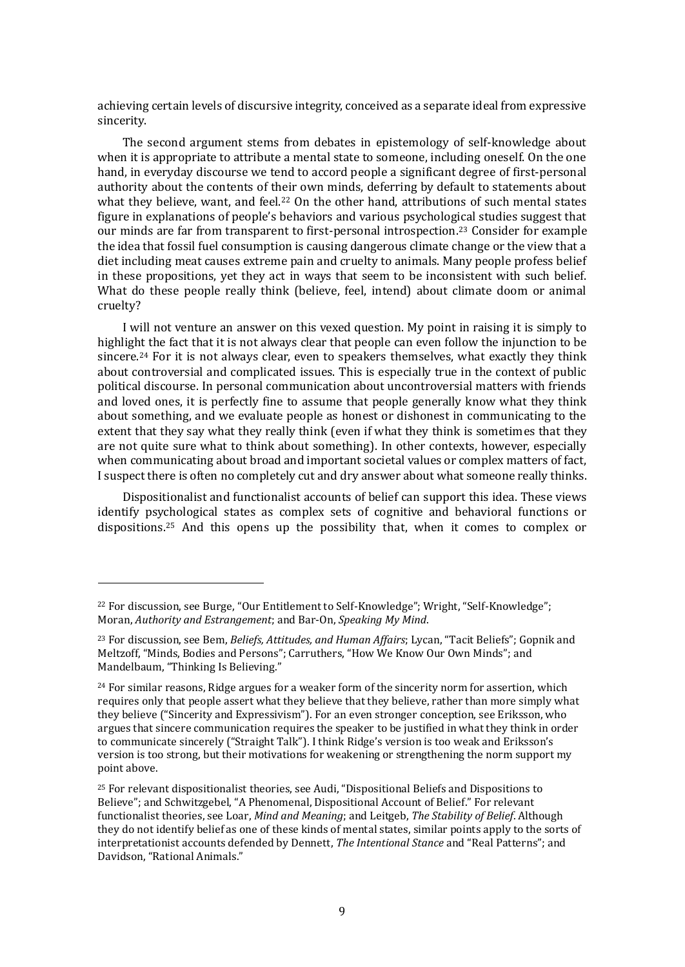achieving certain levels of discursive integrity, conceived as a separate ideal from expressive sincerity.

The second argument stems from debates in epistemology of self-knowledge about when it is appropriate to attribute a mental state to someone, including oneself. On the one hand, in everyday discourse we tend to accord people a significant degree of first-personal authority about the contents of their own minds, deferring by default to statements about what they believe, want, and feel.<sup>22</sup> On the other hand, attributions of such mental states figure in explanations of people's behaviors and various psychological studies suggest that our minds are far from transparent to first-personal introspection.<sup>23</sup> Consider for example the idea that fossil fuel consumption is causing dangerous climate change or the view that a diet including meat causes extreme pain and cruelty to animals. Many people profess belief in these propositions, yet they act in ways that seem to be inconsistent with such belief. What do these people really think (believe, feel, intend) about climate doom or animal cruelty?

I will not venture an answer on this vexed question. My point in raising it is simply to highlight the fact that it is not always clear that people can even follow the injunction to be sincere.<sup>24</sup> For it is not always clear, even to speakers themselves, what exactly they think about controversial and complicated issues. This is especially true in the context of public political discourse. In personal communication about uncontroversial matters with friends and loved ones, it is perfectly fine to assume that people generally know what they think about something, and we evaluate people as honest or dishonest in communicating to the extent that they say what they really think (even if what they think is sometimes that they are not quite sure what to think about something). In other contexts, however, especially when communicating about broad and important societal values or complex matters of fact, I suspect there is often no completely cut and dry answer about what someone really thinks.

Dispositionalist and functionalist accounts of belief can support this idea. These views identify psychological states as complex sets of cognitive and behavioral functions or dispositions.<sup>25</sup> And this opens up the possibility that, when it comes to complex or

<sup>22</sup> For discussion, see Burge, "Our Entitlement to Self-Knowledge"; Wright, "Self-Knowledge"; Moran, *Authority and Estrangement*; and Bar-On, *Speaking My Mind*.

<sup>23</sup> For discussion, see Bem, *Beliefs, Attitudes, and Human Affairs*; Lycan, "Tacit Beliefs"; Gopnik and Meltzoff, "Minds, Bodies and Persons"; Carruthers, "How We Know Our Own Minds"; and Mandelbaum, "Thinking Is Believing."

 $24$  For similar reasons, Ridge argues for a weaker form of the sincerity norm for assertion, which requires only that people assert what they believe that they believe, rather than more simply what they believe ("Sincerity and Expressivism"). For an even stronger conception, see Eriksson, who argues that sincere communication requires the speaker to be justified in what they think in order to communicate sincerely ("Straight Talk"). I think Ridge's version is too weak and Eriksson's version is too strong, but their motivations for weakening or strengthening the norm support my point above.

<sup>25</sup> For relevant dispositionalist theories, see Audi, "Dispositional Beliefs and Dispositions to Believe"; and Schwitzgebel, "A Phenomenal, Dispositional Account of Belief." For relevant functionalist theories, see Loar, *Mind and Meaning*; and Leitgeb, *The Stability of Belief*. Although they do not identify belief as one of these kinds of mental states, similar points apply to the sorts of interpretationist accounts defended by Dennett, *The Intentional Stance* and "Real Patterns"; and Davidson, "Rational Animals."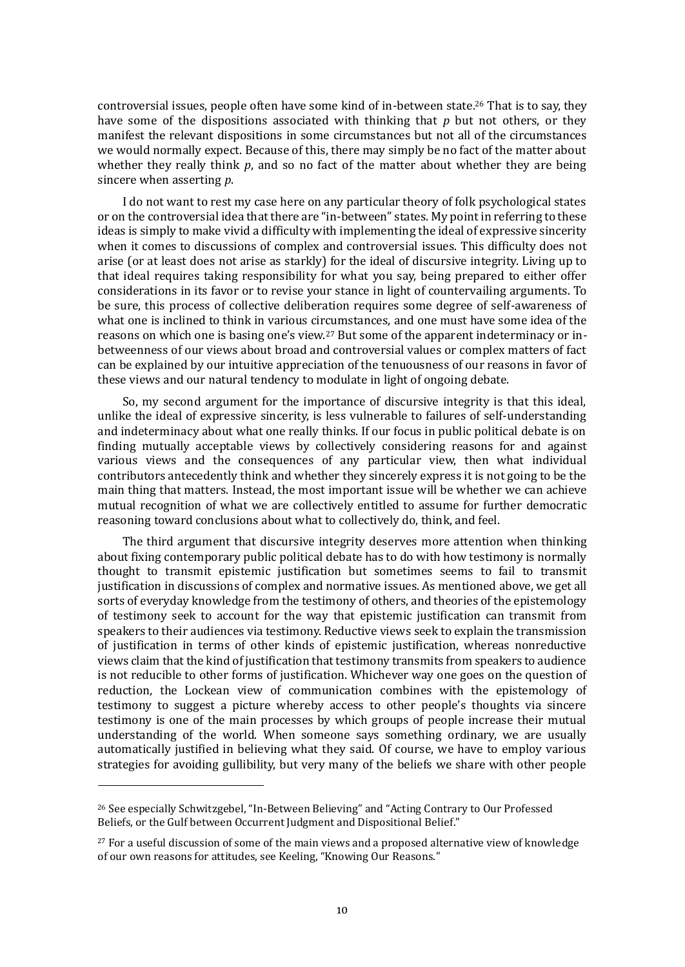controversial issues, people often have some kind of in-between state.<sup>26</sup> That is to say, they have some of the dispositions associated with thinking that *p* but not others, or they manifest the relevant dispositions in some circumstances but not all of the circumstances we would normally expect. Because of this, there may simply be no fact of the matter about whether they really think *p*, and so no fact of the matter about whether they are being sincere when asserting *p*.

I do not want to rest my case here on any particular theory of folk psychological states or on the controversial idea that there are "in-between" states. My point in referring to these ideas is simply to make vivid a difficulty with implementing the ideal of expressive sincerity when it comes to discussions of complex and controversial issues. This difficulty does not arise (or at least does not arise as starkly) for the ideal of discursive integrity. Living up to that ideal requires taking responsibility for what you say, being prepared to either offer considerations in its favor or to revise your stance in light of countervailing arguments. To be sure, this process of collective deliberation requires some degree of self-awareness of what one is inclined to think in various circumstances, and one must have some idea of the reasons on which one is basing one's view.<sup>27</sup> But some of the apparent indeterminacy or inbetweenness of our views about broad and controversial values or complex matters of fact can be explained by our intuitive appreciation of the tenuousness of our reasons in favor of these views and our natural tendency to modulate in light of ongoing debate.

So, my second argument for the importance of discursive integrity is that this ideal, unlike the ideal of expressive sincerity, is less vulnerable to failures of self-understanding and indeterminacy about what one really thinks. If our focus in public political debate is on finding mutually acceptable views by collectively considering reasons for and against various views and the consequences of any particular view, then what individual contributors antecedently think and whether they sincerely express it is not going to be the main thing that matters. Instead, the most important issue will be whether we can achieve mutual recognition of what we are collectively entitled to assume for further democratic reasoning toward conclusions about what to collectively do, think, and feel.

The third argument that discursive integrity deserves more attention when thinking about fixing contemporary public political debate has to do with how testimony is normally thought to transmit epistemic justification but sometimes seems to fail to transmit justification in discussions of complex and normative issues. As mentioned above, we get all sorts of everyday knowledge from the testimony of others, and theories of the epistemology of testimony seek to account for the way that epistemic justification can transmit from speakers to their audiences via testimony. Reductive views seek to explain the transmission of justification in terms of other kinds of epistemic justification, whereas nonreductive views claim that the kind of justification that testimony transmits from speakers to audience is not reducible to other forms of justification. Whichever way one goes on the question of reduction, the Lockean view of communication combines with the epistemology of testimony to suggest a picture whereby access to other people's thoughts via sincere testimony is one of the main processes by which groups of people increase their mutual understanding of the world. When someone says something ordinary, we are usually automatically justified in believing what they said. Of course, we have to employ various strategies for avoiding gullibility, but very many of the beliefs we share with other people

<sup>26</sup> See especially Schwitzgebel, "In-Between Believing" and "Acting Contrary to Our Professed Beliefs, or the Gulf between Occurrent Judgment and Dispositional Belief."

<sup>&</sup>lt;sup>27</sup> For a useful discussion of some of the main views and a proposed alternative view of knowledge of our own reasons for attitudes, see Keeling, "Knowing Our Reasons."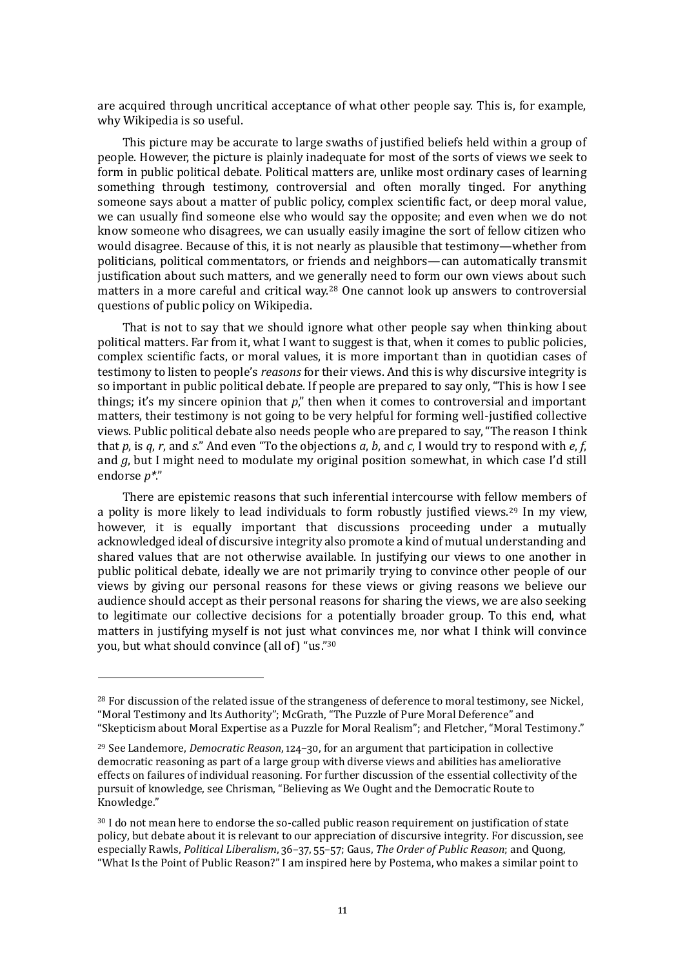are acquired through uncritical acceptance of what other people say. This is, for example, why Wikipedia is so useful.

This picture may be accurate to large swaths of justified beliefs held within a group of people. However, the picture is plainly inadequate for most of the sorts of views we seek to form in public political debate. Political matters are, unlike most ordinary cases of learning something through testimony, controversial and often morally tinged. For anything someone says about a matter of public policy, complex scientific fact, or deep moral value, we can usually find someone else who would say the opposite; and even when we do not know someone who disagrees, we can usually easily imagine the sort of fellow citizen who would disagree. Because of this, it is not nearly as plausible that testimony—whether from politicians, political commentators, or friends and neighbors—can automatically transmit justification about such matters, and we generally need to form our own views about such matters in a more careful and critical way.<sup>28</sup> One cannot look up answers to controversial questions of public policy on Wikipedia.

That is not to say that we should ignore what other people say when thinking about political matters. Far from it, what I want to suggest is that, when it comes to public policies, complex scientific facts, or moral values, it is more important than in quotidian cases of testimony to listen to people's *reasons* for their views. And this is why discursive integrity is so important in public political debate. If people are prepared to say only, "This is how I see things; it's my sincere opinion that *p*," then when it comes to controversial and important matters, their testimony is not going to be very helpful for forming well-justified collective views. Public political debate also needs people who are prepared to say, "The reason I think that *p*, is *q*, *r*, and *s*." And even "To the objections *a*, *b*, and *c*, I would try to respond with *e*, *f*, and *g*, but I might need to modulate my original position somewhat, in which case I'd still endorse *p\**."

There are epistemic reasons that such inferential intercourse with fellow members of a polity is more likely to lead individuals to form robustly justified views.<sup>29</sup> In my view, however, it is equally important that discussions proceeding under a mutually acknowledged ideal of discursive integrity also promote a kind of mutual understanding and shared values that are not otherwise available. In justifying our views to one another in public political debate, ideally we are not primarily trying to convince other people of our views by giving our personal reasons for these views or giving reasons we believe our audience should accept as their personal reasons for sharing the views, we are also seeking to legitimate our collective decisions for a potentially broader group. To this end, what matters in justifying myself is not just what convinces me, nor what I think will convince you, but what should convince (all of) "us." 30

<sup>&</sup>lt;sup>28</sup> For discussion of the related issue of the strangeness of deference to moral testimony, see Nickel, "Moral Testimony and Its Authority"; McGrath, "The Puzzle of Pure Moral Deference" and "Skepticism about Moral Expertise as a Puzzle for Moral Realism"; and Fletcher, "Moral Testimony."

<sup>29</sup> See Landemore, *Democratic Reason*, 124–30, for an argument that participation in collective democratic reasoning as part of a large group with diverse views and abilities has ameliorative effects on failures of individual reasoning. For further discussion of the essential collectivity of the pursuit of knowledge, see Chrisman, "Believing as We Ought and the Democratic Route to Knowledge."

<sup>&</sup>lt;sup>30</sup> I do not mean here to endorse the so-called public reason requirement on justification of state policy, but debate about it is relevant to our appreciation of discursive integrity. For discussion, see especially Rawls, *Political Liberalism*, 36–37, 55–57; Gaus, *The Order of Public Reason*; and Quong, "What Is the Point of Public Reason?" I am inspired here by Postema, who makes a similar point to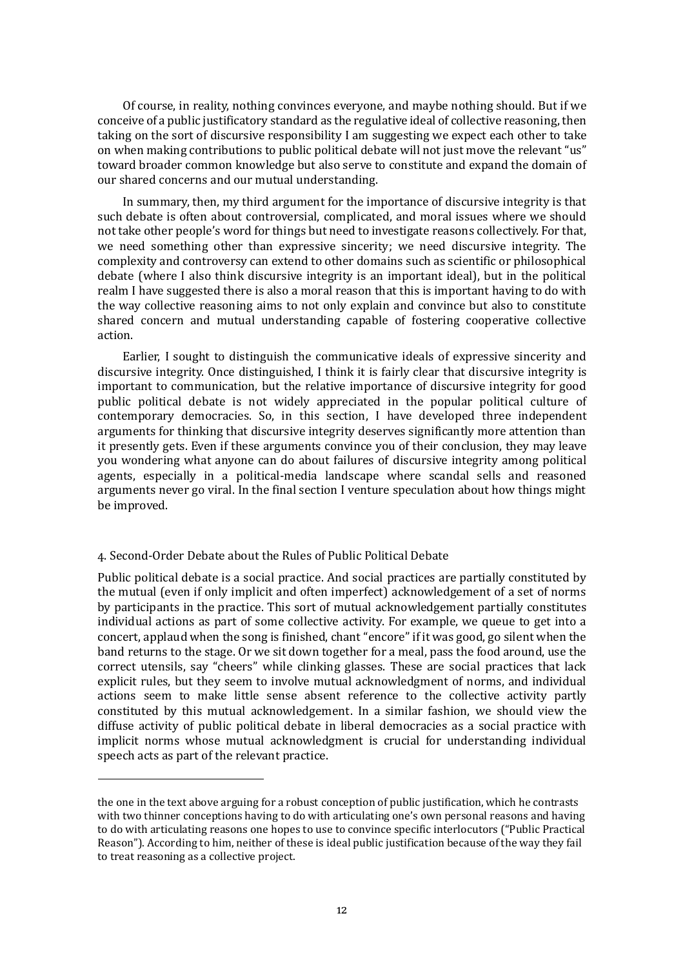Of course, in reality, nothing convinces everyone, and maybe nothing should. But if we conceive of a public justificatory standard as the regulative ideal of collective reasoning, then taking on the sort of discursive responsibility I am suggesting we expect each other to take on when making contributions to public political debate will not just move the relevant "us" toward broader common knowledge but also serve to constitute and expand the domain of our shared concerns and our mutual understanding.

In summary, then, my third argument for the importance of discursive integrity is that such debate is often about controversial, complicated, and moral issues where we should not take other people's word for things but need to investigate reasons collectively. For that, we need something other than expressive sincerity; we need discursive integrity. The complexity and controversy can extend to other domains such as scientific or philosophical debate (where I also think discursive integrity is an important ideal), but in the political realm I have suggested there is also a moral reason that this is important having to do with the way collective reasoning aims to not only explain and convince but also to constitute shared concern and mutual understanding capable of fostering cooperative collective action.

Earlier, I sought to distinguish the communicative ideals of expressive sincerity and discursive integrity. Once distinguished, I think it is fairly clear that discursive integrity is important to communication, but the relative importance of discursive integrity for good public political debate is not widely appreciated in the popular political culture of contemporary democracies. So, in this section, I have developed three independent arguments for thinking that discursive integrity deserves significantly more attention than it presently gets. Even if these arguments convince you of their conclusion, they may leave you wondering what anyone can do about failures of discursive integrity among political agents, especially in a political-media landscape where scandal sells and reasoned arguments never go viral. In the final section I venture speculation about how things might be improved.

### 4. Second-Order Debate about the Rules of Public Political Debate

Public political debate is a social practice. And social practices are partially constituted by the mutual (even if only implicit and often imperfect) acknowledgement of a set of norms by participants in the practice. This sort of mutual acknowledgement partially constitutes individual actions as part of some collective activity. For example, we queue to get into a concert, applaud when the song is finished, chant "encore" if it was good, go silent when the band returns to the stage. Or we sit down together for a meal, pass the food around, use the correct utensils, say "cheers" while clinking glasses. These are social practices that lack explicit rules, but they seem to involve mutual acknowledgment of norms, and individual actions seem to make little sense absent reference to the collective activity partly constituted by this mutual acknowledgement. In a similar fashion, we should view the diffuse activity of public political debate in liberal democracies as a social practice with implicit norms whose mutual acknowledgment is crucial for understanding individual speech acts as part of the relevant practice.

the one in the text above arguing for a robust conception of public justification, which he contrasts with two thinner conceptions having to do with articulating one's own personal reasons and having to do with articulating reasons one hopes to use to convince specific interlocutors ("Public Practical Reason"). According to him, neither of these is ideal public justification because of the way they fail to treat reasoning as a collective project.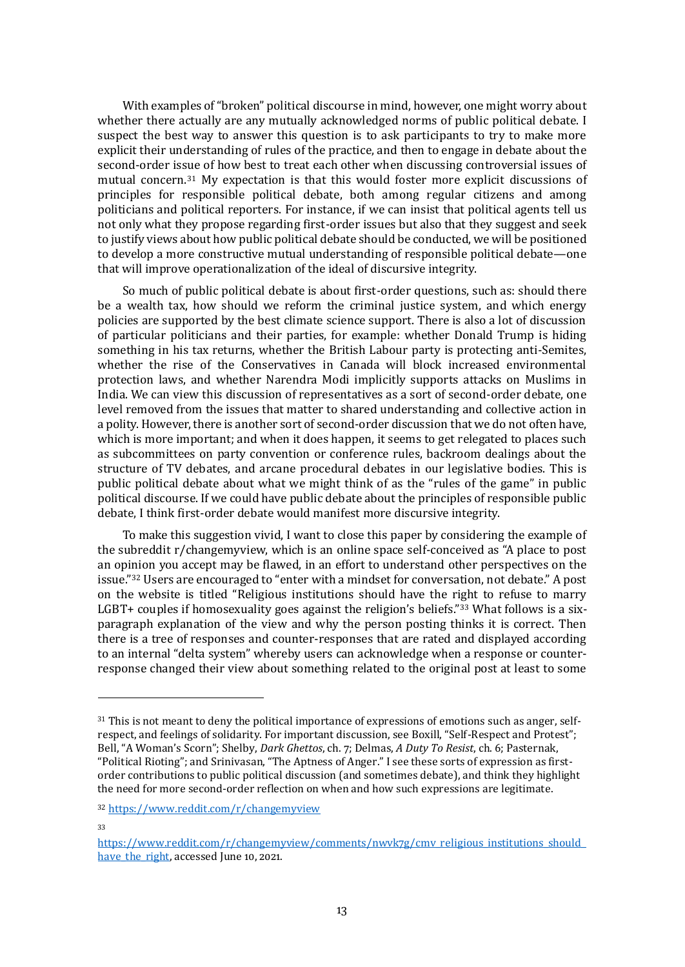With examples of "broken" political discourse in mind, however, one might worry about whether there actually are any mutually acknowledged norms of public political debate. I suspect the best way to answer this question is to ask participants to try to make more explicit their understanding of rules of the practice, and then to engage in debate about the second-order issue of how best to treat each other when discussing controversial issues of mutual concern.<sup>31</sup> My expectation is that this would foster more explicit discussions of principles for responsible political debate, both among regular citizens and among politicians and political reporters. For instance, if we can insist that political agents tell us not only what they propose regarding first-order issues but also that they suggest and seek to justify views about how public political debate should be conducted, we will be positioned to develop a more constructive mutual understanding of responsible political debate—one that will improve operationalization of the ideal of discursive integrity.

So much of public political debate is about first-order questions, such as: should there be a wealth tax, how should we reform the criminal justice system, and which energy policies are supported by the best climate science support. There is also a lot of discussion of particular politicians and their parties, for example: whether Donald Trump is hiding something in his tax returns, whether the British Labour party is protecting anti-Semites, whether the rise of the Conservatives in Canada will block increased environmental protection laws, and whether Narendra Modi implicitly supports attacks on Muslims in India. We can view this discussion of representatives as a sort of second-order debate, one level removed from the issues that matter to shared understanding and collective action in a polity. However, there is another sort of second-order discussion that we do not often have, which is more important; and when it does happen, it seems to get relegated to places such as subcommittees on party convention or conference rules, backroom dealings about the structure of TV debates, and arcane procedural debates in our legislative bodies. This is public political debate about what we might think of as the "rules of the game" in public political discourse. If we could have public debate about the principles of responsible public debate, I think first-order debate would manifest more discursive integrity.

To make this suggestion vivid, I want to close this paper by considering the example of the subreddit r/changemyview, which is an online space self-conceived as "A place to post an opinion you accept may be flawed, in an effort to understand other perspectives on the issue."<sup>32</sup> Users are encouraged to "enter with a mindset for conversation, not debate." A post on the website is titled "Religious institutions should have the right to refuse to marry LGBT+ couples if homosexuality goes against the religion's beliefs."<sup>33</sup> What follows is a sixparagraph explanation of the view and why the person posting thinks it is correct. Then there is a tree of responses and counter-responses that are rated and displayed according to an internal "delta system" whereby users can acknowledge when a response or counterresponse changed their view about something related to the original post at least to some

<sup>32</sup> [https://www.reddit.com/r/changemyview](https://www.reddit.com/r/changemyview/)

33

<sup>&</sup>lt;sup>31</sup> This is not meant to deny the political importance of expressions of emotions such as anger, selfrespect, and feelings of solidarity. For important discussion, see Boxill, "Self-Respect and Protest"; Bell, "A Woman's Scorn"; Shelby, *Dark Ghettos*, ch. 7; Delmas, *A Duty To Resist*, ch. 6; Pasternak, "Political Rioting"; and Srinivasan, "The Aptness of Anger." I see these sorts of expression as firstorder contributions to public political discussion (and sometimes debate), and think they highlight the need for more second-order reflection on when and how such expressions are legitimate.

[https://www.reddit.com/r/changemyview/comments/nwvk7g/cmv\\_religious\\_institutions\\_should\\_](https://www.reddit.com/r/changemyview/comments/nwvk7g/cmv_religious_institutions_should_have_the_right) have the right, accessed June 10, 2021.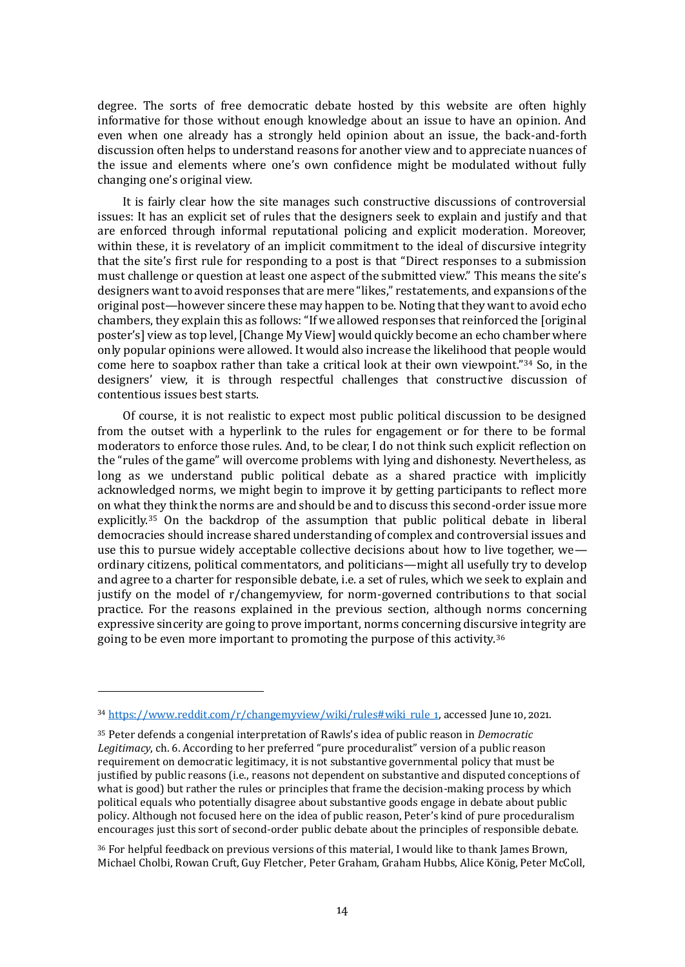degree. The sorts of free democratic debate hosted by this website are often highly informative for those without enough knowledge about an issue to have an opinion. And even when one already has a strongly held opinion about an issue, the back-and-forth discussion often helps to understand reasons for another view and to appreciate nuances of the issue and elements where one's own confidence might be modulated without fully changing one's original view.

It is fairly clear how the site manages such constructive discussions of controversial issues: It has an explicit set of rules that the designers seek to explain and justify and that are enforced through informal reputational policing and explicit moderation. Moreover, within these, it is revelatory of an implicit commitment to the ideal of discursive integrity that the site's first rule for responding to a post is that "Direct responses to a submission must challenge or question at least one aspect of the submitted view." This means the site's designers want to avoid responses that are mere "likes," restatements, and expansions of the original post—however sincere these may happen to be. Noting that they want to avoid echo chambers, they explain this as follows: "If we allowed responses that reinforced the [original poster's] view as top level, [Change My View] would quickly become an echo chamber where only popular opinions were allowed. It would also increase the likelihood that people would come here to soapbox rather than take a critical look at their own viewpoint."<sup>34</sup> So, in the designers' view, it is through respectful challenges that constructive discussion of contentious issues best starts.

Of course, it is not realistic to expect most public political discussion to be designed from the outset with a hyperlink to the rules for engagement or for there to be formal moderators to enforce those rules. And, to be clear, I do not think such explicit reflection on the "rules of the game" will overcome problems with lying and dishonesty. Nevertheless, as long as we understand public political debate as a shared practice with implicitly acknowledged norms, we might begin to improve it by getting participants to reflect more on what they think the norms are and should be and to discuss this second-order issue more explicitly.<sup>35</sup> On the backdrop of the assumption that public political debate in liberal democracies should increase shared understanding of complex and controversial issues and use this to pursue widely acceptable collective decisions about how to live together, we ordinary citizens, political commentators, and politicians—might all usefully try to develop and agree to a charter for responsible debate, i.e. a set of rules, which we seek to explain and justify on the model of r/changemyview, for norm-governed contributions to that social practice. For the reasons explained in the previous section, although norms concerning expressive sincerity are going to prove important, norms concerning discursive integrity are going to be even more important to promoting the purpose of this activity.<sup>36</sup>

<sup>36</sup> For helpful feedback on previous versions of this material, I would like to thank James Brown, Michael Cholbi, Rowan Cruft, Guy Fletcher, Peter Graham, Graham Hubbs, Alice König, Peter McColl,

<sup>34</sup> [https://www.reddit.com/r/changemyview/wiki/rules#wiki\\_rule\\_1,](https://www.reddit.com/r/changemyview/wiki/rules#wiki_rule_1) accessed June 10, 2021.

<sup>35</sup> Peter defends a congenial interpretation of Rawls's idea of public reason in *Democratic Legitimacy*, ch. 6. According to her preferred "pure proceduralist" version of a public reason requirement on democratic legitimacy, it is not substantive governmental policy that must be justified by public reasons (i.e., reasons not dependent on substantive and disputed conceptions of what is good) but rather the rules or principles that frame the decision-making process by which political equals who potentially disagree about substantive goods engage in debate about public policy. Although not focused here on the idea of public reason, Peter's kind of pure proceduralism encourages just this sort of second-order public debate about the principles of responsible debate.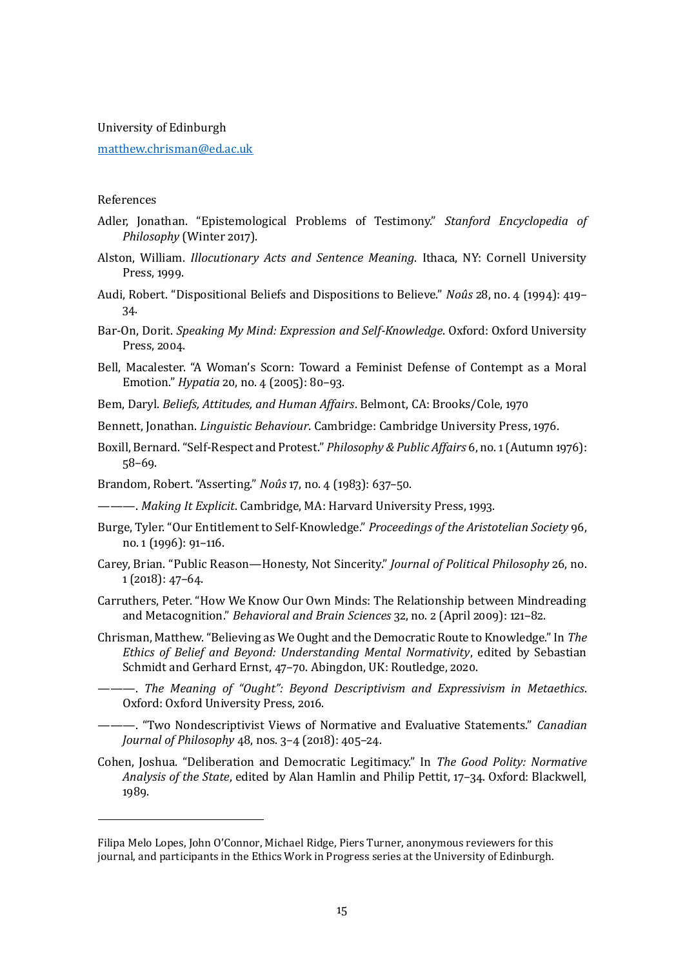University of Edinburgh

[matthew.chrisman@ed.ac.uk](mailto:matthew.chrisman@ed.ac.uk)

#### References

- Adler, Jonathan. "Epistemological Problems of Testimony." *Stanford Encyclopedia of Philosophy* (Winter 2017).
- Alston, William. *Illocutionary Acts and Sentence Meaning*. Ithaca, NY: Cornell University Press, 1999.
- Audi, Robert. "Dispositional Beliefs and Dispositions to Believe." *Noûs* 28, no. 4 (1994): 419– 34.
- Bar-On, Dorit. *Speaking My Mind: Expression and Self-Knowledge*. Oxford: Oxford University Press, 2004.
- Bell, Macalester. "A Woman's Scorn: Toward a Feminist Defense of Contempt as a Moral Emotion." *Hypatia* 20, no. 4 (2005): 80–93.
- Bem, Daryl. *Beliefs, Attitudes, and Human Affairs*. Belmont, CA: Brooks/Cole, 1970

Bennett, Jonathan. *Linguistic Behaviour*. Cambridge: Cambridge University Press, 1976.

- Boxill, Bernard. "Self-Respect and Protest." *Philosophy & Public Affairs* 6, no. 1(Autumn 1976): 58–69.
- Brandom, Robert. "Asserting." *Noûs* 17, no. 4 (1983): 637–50.

———. *Making It Explicit*. Cambridge, MA: Harvard University Press, 1993.

- Burge, Tyler. "Our Entitlement to Self-Knowledge." *Proceedings of the Aristotelian Society* 96, no. 1 (1996): 91–116.
- Carey, Brian. "Public Reason—Honesty, Not Sincerity." *Journal of Political Philosophy* 26, no. 1 (2018): 47–64.
- Carruthers, Peter. "How We Know Our Own Minds: The Relationship between Mindreading and Metacognition." *Behavioral and Brain Sciences* 32, no. 2 (April 2009): 121–82.
- Chrisman, Matthew. "Believing as We Ought and the Democratic Route to Knowledge." In *The Ethics of Belief and Beyond: Understanding Mental Normativity*, edited by Sebastian Schmidt and Gerhard Ernst, 47–70. Abingdon, UK: Routledge, 2020.
- ———. *The Meaning of "Ought": Beyond Descriptivism and Expressivism in Metaethics*. Oxford: Oxford University Press, 2016.
- ———. "Two Nondescriptivist Views of Normative and Evaluative Statements." *Canadian Journal of Philosophy* 48, nos. 3–4 (2018): 405–24.
- Cohen, Joshua. "Deliberation and Democratic Legitimacy." In *The Good Polity: Normative Analysis of the State*, edited by Alan Hamlin and Philip Pettit, 17–34. Oxford: Blackwell, 1989.

Filipa Melo Lopes, John O'Connor, Michael Ridge, Piers Turner, anonymous reviewers for this journal, and participants in the Ethics Work in Progress series at the University of Edinburgh.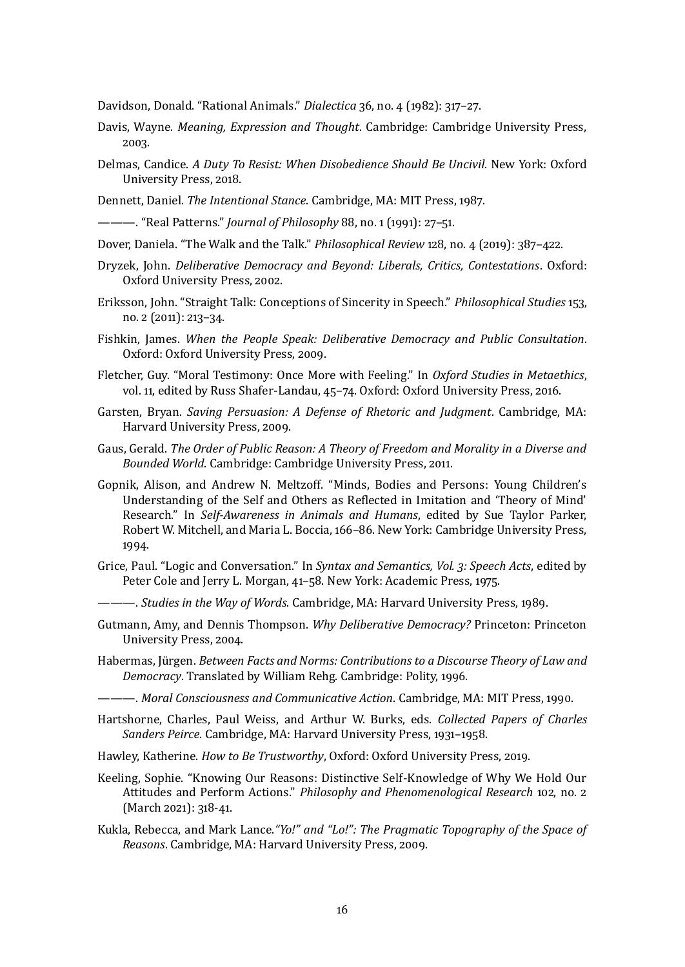Davidson, Donald. "Rational Animals." *Dialectica* 36, no. 4 (1982): 317–27.

- Davis, Wayne. *Meaning, Expression and Thought*. Cambridge: Cambridge University Press, 2003.
- Delmas, Candice. *A Duty To Resist: When Disobedience Should Be Uncivil*. New York: Oxford University Press, 2018.

Dennett, Daniel. *The Intentional Stance*. Cambridge, MA: MIT Press, 1987.

———. "Real Patterns." *Journal of Philosophy* 88, no. 1 (1991): 27–51.

- Dover, Daniela. "The Walk and the Talk." *Philosophical Review* 128, no. 4 (2019): 387–422.
- Dryzek, John. *Deliberative Democracy and Beyond: Liberals, Critics, Contestations*. Oxford: Oxford University Press, 2002.
- Eriksson, John. "Straight Talk: Conceptions of Sincerity in Speech." *Philosophical Studies* 153, no. 2 (2011): 213–34.
- Fishkin, James. *When the People Speak: Deliberative Democracy and Public Consultation*. Oxford: Oxford University Press, 2009.
- Fletcher, Guy. "Moral Testimony: Once More with Feeling." In *Oxford Studies in Metaethics*, vol. 11, edited by Russ Shafer-Landau, 45–74. Oxford: Oxford University Press, 2016.
- Garsten, Bryan. *Saving Persuasion: A Defense of Rhetoric and Judgment*. Cambridge, MA: Harvard University Press, 2009.
- Gaus, Gerald. *The Order of Public Reason: A Theory of Freedom and Morality in a Diverse and Bounded World*. Cambridge: Cambridge University Press, 2011.
- Gopnik, Alison, and Andrew N. Meltzoff. "Minds, Bodies and Persons: Young Children's Understanding of the Self and Others as Reflected in Imitation and 'Theory of Mind' Research." In *Self-Awareness in Animals and Humans*, edited by Sue Taylor Parker, Robert W. Mitchell, and Maria L. Boccia, 166–86. New York: Cambridge University Press, 1994.
- Grice, Paul. "Logic and Conversation." In *Syntax and Semantics, Vol. 3: Speech Acts*, edited by Peter Cole and Jerry L. Morgan, 41–58. New York: Academic Press, 1975.
- ———. *Studies in the Way of Words*. Cambridge, MA: Harvard University Press, 1989.
- Gutmann, Amy, and Dennis Thompson. *Why Deliberative Democracy?* Princeton: Princeton University Press, 2004.
- Habermas, Jürgen. *Between Facts and Norms: Contributions to a Discourse Theory of Law and Democracy*. Translated by William Rehg. Cambridge: Polity, 1996.
- ———. *Moral Consciousness and Communicative Action*. Cambridge, MA: MIT Press, 1990.
- Hartshorne, Charles, Paul Weiss, and Arthur W. Burks, eds. *Collected Papers of Charles Sanders Peirce*. Cambridge, MA: Harvard University Press, 1931–1958.
- Hawley, Katherine. *How to Be Trustworthy*, Oxford: Oxford University Press, 2019.
- Keeling, Sophie. "Knowing Our Reasons: Distinctive Self‐Knowledge of Why We Hold Our Attitudes and Perform Actions." *Philosophy and Phenomenological Research* 102, no. 2 (March 2021): 318-41.
- Kukla, Rebecca, and Mark Lance.*"Yo!" and "Lo!": The Pragmatic Topography of the Space of Reasons*. Cambridge, MA: Harvard University Press, 2009.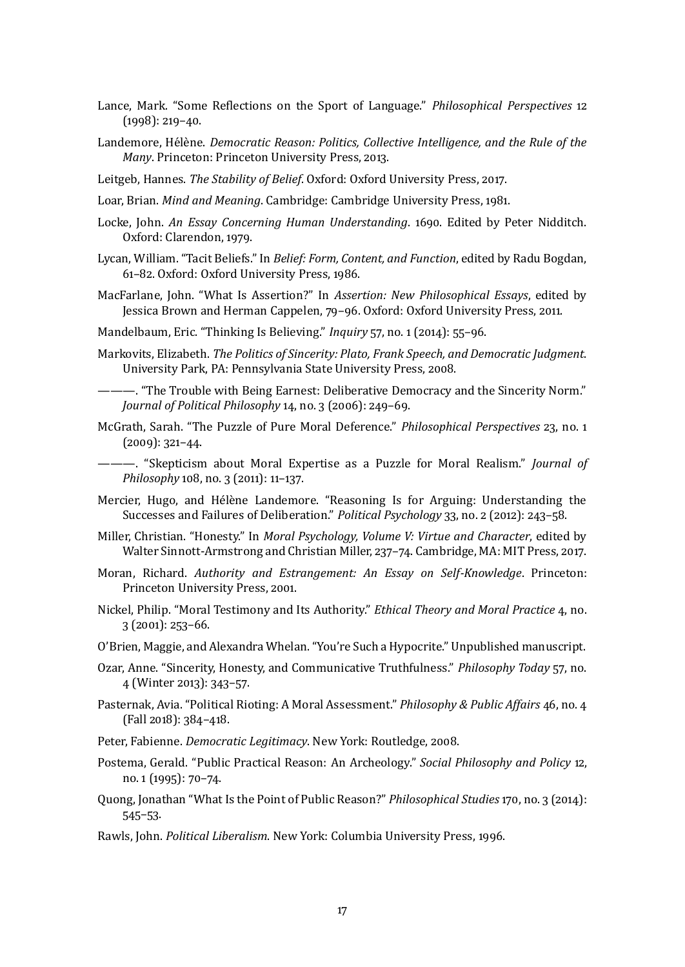- Lance, Mark. "Some Reflections on the Sport of Language." *Philosophical Perspectives* 12 (1998): 219–40.
- Landemore, Hélène. *Democratic Reason: Politics, Collective Intelligence, and the Rule of the Many*. Princeton: Princeton University Press, 2013.
- Leitgeb, Hannes. *The Stability of Belief*. Oxford: Oxford University Press, 2017.
- Loar, Brian. *Mind and Meaning*. Cambridge: Cambridge University Press, 1981.
- Locke, John. *An Essay Concerning Human Understanding*. 1690. Edited by Peter Nidditch. Oxford: Clarendon, 1979.
- Lycan, William. "Tacit Beliefs." In *Belief: Form, Content, and Function*, edited by Radu Bogdan, 61–82. Oxford: Oxford University Press, 1986.
- MacFarlane, John. "What Is Assertion?" In *Assertion: New Philosophical Essays*, edited by Jessica Brown and Herman Cappelen, 79–96. Oxford: Oxford University Press, 2011.
- Mandelbaum, Eric. "Thinking Is Believing." *Inquiry* 57, no. 1 (2014): 55–96.
- Markovits, Elizabeth. *The Politics of Sincerity: Plato, Frank Speech, and Democratic Judgment*. University Park, PA: Pennsylvania State University Press, 2008.
- ———. "The Trouble with Being Earnest: Deliberative Democracy and the Sincerity Norm." *Journal of Political Philosophy* 14, no. 3 (2006): 249–69.
- McGrath, Sarah. "The Puzzle of Pure Moral Deference." *Philosophical Perspectives* 23, no. 1 (2009): 321–44.
- ———. "Skepticism about Moral Expertise as a Puzzle for Moral Realism." *Journal of Philosophy* 108, no. 3 (2011): 11–137.
- Mercier, Hugo, and Hélène Landemore. "Reasoning Is for Arguing: Understanding the Successes and Failures of Deliberation." *Political Psychology* 33, no. 2 (2012): 243–58.
- Miller, Christian. "Honesty." In *Moral Psychology, Volume V: Virtue and Character*, edited by Walter Sinnott-Armstrong and Christian Miller, 237–74. Cambridge, MA: MIT Press, 2017.
- Moran, Richard. *Authority and Estrangement: An Essay on Self-Knowledge*. Princeton: Princeton University Press, 2001.
- Nickel, Philip. "Moral Testimony and Its Authority." *Ethical Theory and Moral Practice* 4, no. 3 (2001): 253–66.
- O'Brien, Maggie, and Alexandra Whelan. "You're Such a Hypocrite." Unpublished manuscript.
- Ozar, Anne. "Sincerity, Honesty, and Communicative Truthfulness." *Philosophy Today* 57, no. 4 (Winter 2013): 343–57.
- Pasternak, Avia. "Political Rioting: A Moral Assessment." *Philosophy & Public Affairs* 46, no. 4 (Fall 2018): 384–418.
- Peter, Fabienne. *Democratic Legitimacy*. New York: Routledge, 2008.
- Postema, Gerald. "Public Practical Reason: An Archeology." *Social Philosophy and Policy* 12, no. 1 (1995): 70–74.
- Quong, Jonathan "What Is the Point of Public Reason?" *Philosophical Studies* 170, no. 3 (2014): 545–53.
- Rawls, John. *Political Liberalism*. New York: Columbia University Press, 1996.